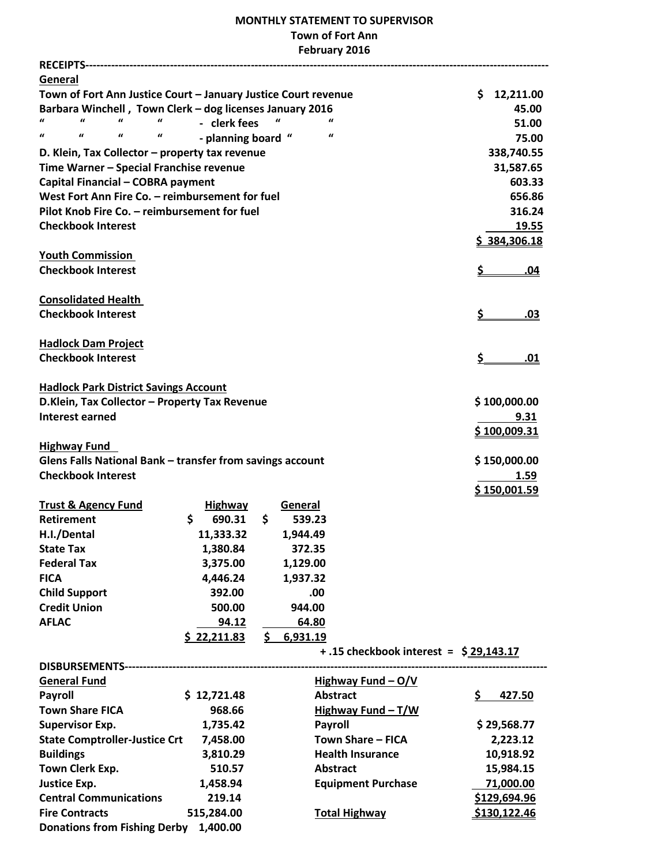## **MONTHLY STATEMENT TO SUPERVISOR Town of Fort Ann February 2016**

| General                                                                                         |                    |     |          |                                        |                  |
|-------------------------------------------------------------------------------------------------|--------------------|-----|----------|----------------------------------------|------------------|
| Town of Fort Ann Justice Court - January Justice Court revenue                                  |                    |     |          |                                        | \$12,211.00      |
| Barbara Winchell, Town Clerk - dog licenses January 2016                                        |                    |     |          |                                        | 45.00            |
| $\mathbf{u}$<br>$\boldsymbol{u}$<br>$\boldsymbol{u}$                                            | - clerk fees       |     | $\iota$  | $\iota$                                | 51.00            |
| $\boldsymbol{\mathcal{U}}$<br>$\pmb{\mathcal{U}}$<br>$\pmb{\mathcal{U}}$<br>$\pmb{\mathcal{U}}$ | - planning board " |     |          | $\pmb{\mathcal{U}}$                    | 75.00            |
| D. Klein, Tax Collector - property tax revenue                                                  |                    |     |          |                                        | 338,740.55       |
| Time Warner - Special Franchise revenue                                                         |                    |     |          |                                        | 31,587.65        |
| Capital Financial - COBRA payment                                                               |                    |     |          |                                        | 603.33           |
| West Fort Ann Fire Co. - reimbursement for fuel                                                 |                    |     |          |                                        | 656.86           |
| Pilot Knob Fire Co. - reimbursement for fuel                                                    |                    |     |          |                                        | 316.24           |
| <b>Checkbook Interest</b>                                                                       |                    |     |          |                                        | 19.55            |
|                                                                                                 |                    |     |          |                                        | 384,306.18       |
| <b>Youth Commission</b>                                                                         |                    |     |          |                                        |                  |
| <b>Checkbook Interest</b>                                                                       |                    |     |          |                                        | <u>\$</u><br>.04 |
|                                                                                                 |                    |     |          |                                        |                  |
| <b>Consolidated Health</b>                                                                      |                    |     |          |                                        |                  |
| <b>Checkbook Interest</b>                                                                       |                    |     |          |                                        | <u>\$</u><br>.03 |
|                                                                                                 |                    |     |          |                                        |                  |
| <b>Hadlock Dam Project</b>                                                                      |                    |     |          |                                        |                  |
| <b>Checkbook Interest</b>                                                                       |                    |     |          |                                        | \$.<br>.01       |
|                                                                                                 |                    |     |          |                                        |                  |
| <b>Hadlock Park District Savings Account</b>                                                    |                    |     |          |                                        |                  |
| D.Klein, Tax Collector - Property Tax Revenue                                                   |                    |     |          |                                        | \$100,000.00     |
| <b>Interest earned</b>                                                                          |                    |     |          |                                        | 9.31             |
|                                                                                                 |                    |     |          |                                        | \$100,009.31     |
| <b>Highway Fund</b>                                                                             |                    |     |          |                                        |                  |
| Glens Falls National Bank - transfer from savings account                                       |                    |     |          |                                        | \$150,000.00     |
| <b>Checkbook Interest</b>                                                                       |                    |     |          |                                        | 1.59             |
|                                                                                                 |                    |     |          |                                        | \$150,001.59     |
| <b>Trust &amp; Agency Fund</b>                                                                  | <b>Highway</b>     |     | General  |                                        |                  |
| <b>Retirement</b>                                                                               | \$<br>690.31       | \$  | 539.23   |                                        |                  |
| H.I./Dental                                                                                     | 11,333.32          |     | 1,944.49 |                                        |                  |
| <b>State Tax</b>                                                                                | 1,380.84           |     | 372.35   |                                        |                  |
| <b>Federal Tax</b>                                                                              | 3,375.00           |     | 1,129.00 |                                        |                  |
| <b>FICA</b>                                                                                     | 4,446.24           |     | 1,937.32 |                                        |                  |
| <b>Child Support</b>                                                                            | 392.00             |     | .00      |                                        |                  |
| <b>Credit Union</b>                                                                             | 500.00             |     | 944.00   |                                        |                  |
| <b>AFLAC</b>                                                                                    |                    |     |          |                                        |                  |
|                                                                                                 | 94.12              |     | 64.80    |                                        |                  |
|                                                                                                 | \$22,211.83        | \$. | 6,931.19 | +.15 checkbook interest = $$29,143.17$ |                  |
|                                                                                                 |                    |     |          |                                        |                  |
|                                                                                                 |                    |     |          |                                        |                  |
| <b>General Fund</b>                                                                             |                    |     |          | Highway Fund $-Q/V$                    |                  |
| <b>Payroll</b>                                                                                  | \$12,721.48        |     |          | <b>Abstract</b>                        | \$<br>427.50     |
| <b>Town Share FICA</b>                                                                          | 968.66             |     |          | Highway Fund $-T/W$                    |                  |
| <b>Supervisor Exp.</b>                                                                          | 1,735.42           |     |          | <b>Payroll</b>                         | \$29,568.77      |
| <b>State Comptroller-Justice Crt</b>                                                            | 7,458.00           |     |          | Town Share - FICA                      | 2,223.12         |
| <b>Buildings</b>                                                                                | 3,810.29           |     |          | <b>Health Insurance</b>                | 10,918.92        |
| Town Clerk Exp.                                                                                 | 510.57             |     |          | <b>Abstract</b>                        | 15,984.15        |
| <b>Justice Exp.</b>                                                                             | 1,458.94           |     |          | <b>Equipment Purchase</b>              | 71,000.00        |
| <b>Central Communications</b>                                                                   | 219.14             |     |          |                                        | \$129,694.96     |
| <b>Fire Contracts</b>                                                                           | 515,284.00         |     |          | <b>Total Highway</b>                   | \$130,122.46     |

**Donations from Fishing Derby 1,400.00**